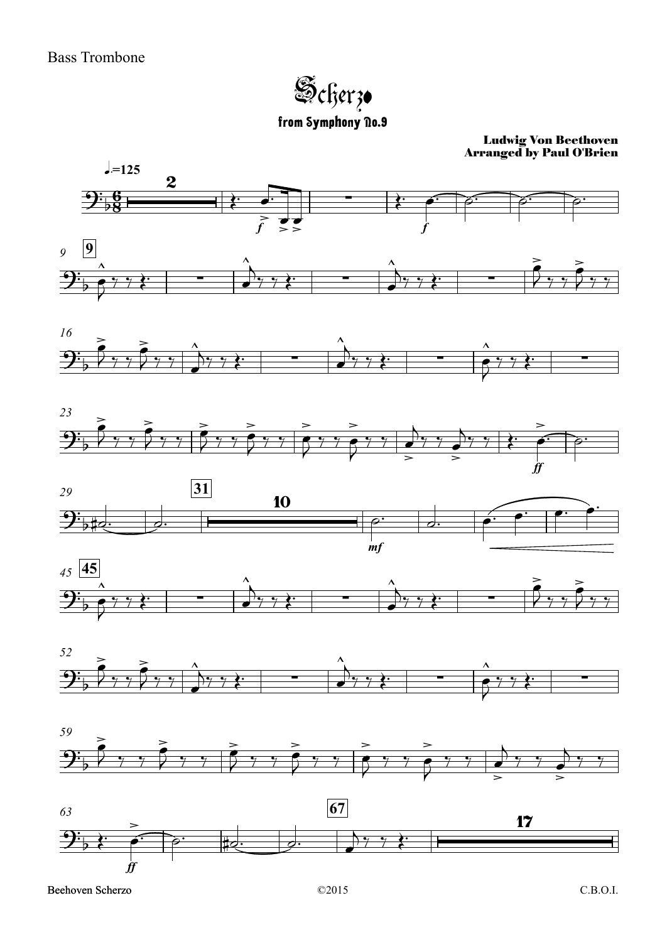Scherzo from Symphony no.9

Ludwig Von Beethoven Arranged by Paul O'Brien